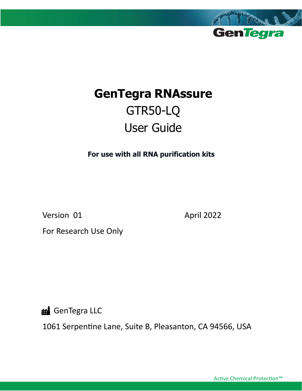

# **GenTegra RNAssure** GTR50-LQ User Guide

**For use with all RNA purification kits**

Version 01 April 2022

For Research Use Only

**ff** GenTegra LLC

1061 Serpentine Lane, Suite B, Pleasanton, CA 94566, USA

Active Chemical Protection™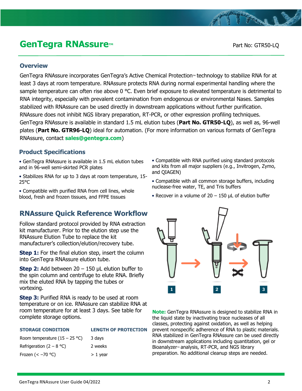## **GenTegra RNAssure<sup>™</sup> and Contract Contract Part No: GTR50-LQ**

### **Overview**

GenTegra RNAssure incorporates GenTegra's Active Chemical Protection™ technology to stabilize RNA for at least 3 days at room temperature. RNAssure protects RNA during normal experimental handling where the sample temperature can often rise above  $0^{\circ}$ C. Even brief exposure to elevated temperature is detrimental to RNA integrity, especially with prevalent contamination from endogenous or environmental Nases. Samples stabilized with RNAssure can be used directly in downstream applications without further purification. RNAssure does not inhibit NGS library preparation, RT-PCR, or other expression profiling techniques. GenTegra RNAssure is available in standard 1.5 mL elution tubes (**Part No. GTR50-LQ**), as well as, 96-well plates (**Part No. GTR96-LQ**) ideal for automation. (For more information on various formats of GenTegra RNAssure, contact **sales@gentegra.com**)

### **Product Specifications**

• GenTegra RNAssure is available in 1.5 mL elution tubes and in 96-well semi-skirted PCR plates

• Stabilizes RNA for up to 3 days at room temperature, 15- 25°C

• Compatible with purified RNA from cell lines, whole blood, fresh and frozen tissues, and FFPE tissues

### **RNAssure Quick Reference Workflow**

Follow standard protocol provided by RNA extraction kit manufacturer. Prior to the elution step use the RNAssure Elution Tube to replace the kit manufacturer's collection/elution/recovery tube.

**Step 1:** For the final elution step, insert the column into GenTegra RNAssure elution tube.

**Step 2:** Add between 20 – 150 μL elution buffer to the spin column and centrifuge to elute RNA. Briefly mix the eluted RNA by tapping the tubes or vortexing.

**Step 3:** Purified RNA is ready to be used at room temperature or on ice. RNAssure can stabilize RNA at room temperature for at least 3 days. See table for complete storage options.

**STORAGE CONDITION LENGTH OF PROTECTION**

| Room temperature $(15 - 25 \degree C)$ | 3 days     |
|----------------------------------------|------------|
| Refrigeration $(2 - 8 \degree C)$      | 2 weeks    |
| Frozen $(< -70$ °C)                    | $> 1$ year |

- Compatible with RNA purified using standard protocols and kits from all major suppliers (e.g., Invitrogen, Zymo, and QIAGEN)
- Compatible with all common storage buffers, including nuclease-free water, TE, and Tris buffers
- Recover in a volume of  $20 150$  µL of elution buffer



**Note:** GenTegra RNAssure is designed to stabilize RNA in the liquid state by inactivating trace nucleases of all classes, protecting against oxidation, as well as helping prevent nonspecific adherence of RNA to plastic materials. RNA stabilized in GenTegra RNAssure can be used directly in downstream applications including quantitation, gel or Bioanalyzer™ analysis, RT-PCR, and NGS library preparation. No additional cleanup steps are needed.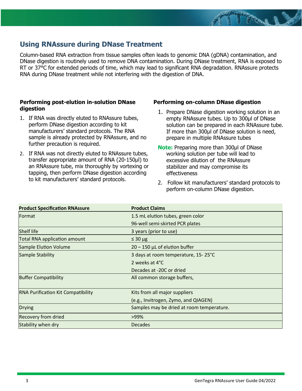### **Using RNAssure during DNase Treatment**

Column-based RNA extraction from tissue samples often leads to genomic DNA (gDNA) contamination, and DNase digestion is routinely used to remove DNA contamination. During DNase treatment, RNA is exposed to RT or 37°C for extended periods of time, which may lead to significant RNA degradation. RNAssure protects RNA during DNase treatment while not interfering with the digestion of DNA.

### **Performing post-elution in-solution DNase digestion**

- 1. If RNA was directly eluted to RNAssure tubes, perform DNase digestion according to kit manufacturers' standard protocols. The RNA sample is already protected by RNAssure, and no further precaution is required.
- 2. If RNA was not directly eluted to RNAssure tubes, transfer appropriate amount of RNA (20-150µl) to an RNAssure tube, mix thoroughly by vortexing or tapping, then perform DNase digestion according to kit manufacturers' standard protocols.

#### **Performing on-column DNase digestion**

- 1. Prepare DNase digestion working solution in an empty RNAssure tubes. Up to 300µl of DNase solution can be prepared in each RNAssure tube. If more than 300µl of DNase solution is need, prepare in multiple RNAssure tubes
- **Note:** Preparing more than 300µl of DNase working solution per tube will lead to excessive dilution of the RNAssure stabilizer and may compromise its effectiveness
- 2. Follow kit manufacturers' standard protocols to perform on-column DNase digestion.

| <b>Product Specification RNAssure</b>     | <b>Product Claims</b>                     |  |
|-------------------------------------------|-------------------------------------------|--|
| Format                                    | 1.5 mL elution tubes, green color         |  |
|                                           | 96-well semi-skirted PCR plates           |  |
| <b>Shelf life</b>                         | 3 years (prior to use)                    |  |
| <b>Total RNA application amount</b>       | $\leq 30 \mu g$                           |  |
| Sample Elution Volume                     | $20 - 150$ µL of elution buffer           |  |
| <b>Sample Stability</b>                   | 3 days at room temperature, 15-25°C       |  |
|                                           | 2 weeks at 4°C                            |  |
|                                           | Decades at -20C or dried                  |  |
| <b>Buffer Compatibility</b>               | All common storage buffers,               |  |
|                                           |                                           |  |
| <b>RNA Purification Kit Compatibility</b> | Kits from all major suppliers             |  |
|                                           | (e.g., Invitrogen, Zymo, and QIAGEN)      |  |
| <b>Drying</b>                             | Samples may be dried at room temperature. |  |
| <b>Recovery from dried</b>                | >99%                                      |  |
| Stability when dry                        | <b>Decades</b>                            |  |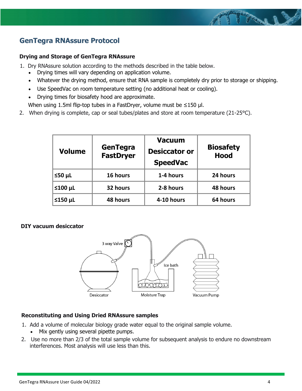### **GenTegra RNAssure Protocol**

### **Drying and Storage of GenTegra RNAssure**

1. Dry RNAssure solution according to the methods described in the table below.

- Drying times will vary depending on application volume.
- Whatever the drying method, ensure that RNA sample is completely dry prior to storage or shipping.
- Use SpeedVac on room temperature setting (no additional heat or cooling).
- Drying times for biosafety hood are approximate.
- When using 1.5ml flip-top tubes in a FastDryer, volume must be ≤150 µl.
- 2. When drying is complete, cap or seal tubes/plates and store at room temperature (21-25°C).

| <b>Volume</b> | GenTegra<br><b>FastDryer</b> | <b>Vacuum</b><br><b>Desiccator or</b><br><b>SpeedVac</b> | <b>Biosafety</b><br><b>Hood</b> |
|---------------|------------------------------|----------------------------------------------------------|---------------------------------|
| $50 \mu L$    | 16 hours                     | 1-4 hours                                                | 24 hours                        |
| $≤100$ µL     | 32 hours                     | 2-8 hours                                                | 48 hours                        |
| $≤150$ µL     | 48 hours                     | 4-10 hours                                               | 64 hours                        |

### **DIY vacuum desiccator**



### **Reconstituting and Using Dried RNAssure samples**

- 1. Add a volume of molecular biology grade water equal to the original sample volume.
	- Mix gently using several pipette pumps.
- 2. Use no more than 2/3 of the total sample volume for subsequent analysis to endure no downstream interferences. Most analysis will use less than this.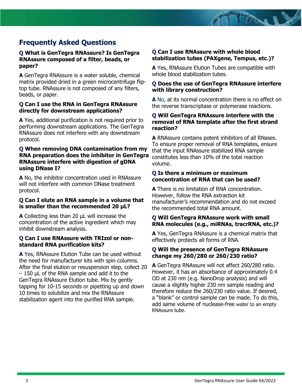### **Frequently Asked Questions**

#### **Q What is GenTegra RNAssure? Is GenTegra RNAssure composed of a filter, beads, or paper?**

**A** GenTegra RNAssure is a water soluble, chemical matrix provided dried in a green microcentrifuge fliptop tube. RNAssure is not composed of any filters, beads, or paper.

#### **Q Can I use the RNA in GenTegra RNAssure directly for downstream applications?**

**A** Yes, additional purification is not required prior to performing downstream applications. The GenTegra RNAssure does not interfere with any downstream protocol.

### **Q When removing DNA contamination from my RNA preparation does the inhibitor in GenTegra RNAssure interfere with digestion of gDNA using DNase I?**

**A** No, the inhibitor concentration used in RNAssure will not interfere with common DNase treatment protocol.

### **Q Can I elute an RNA sample in a volume that is smaller than the recommended 20 μL?**

**A** Collecting less than 20 μL will increase the concentration of the active ingredient which may inhibit downstream analysis.

#### **Q Can I use RNAssure with TRIzol or nonstandard RNA purification kits?**

**A** Yes, RNAssure Elution Tube can be used without the need for manufacturer kits with spin columns. After the final elution or resuspension step, collect 20  $-$  150 μL of the RNA sample and add it to the GenTegra RNAssure Elution tube. Mix by gently tapping for 10-15 seconds or pipetting up and down 10 times to solubilize and mix the RNAssure stabilization agent into the purified RNA sample.

### **Q Can I use RNAssure with whole blood stabilization tubes (PAXgene, Tempus, etc.)?**

**A** Yes, RNAssure Elution Tubes are compatible with whole blood stabilization tubes.

### **Q Does the use of GenTegra RNAssure interfere with library construction?**

**A** No, at its normal concentration there is no effect on the reverse transcriptase or polymerase reactions.

### **Q Will GenTegra RNAssure interfere with the removal of RNA template after the first strand reaction?**

**A** RNAssure contains potent inhibitors of all RNases. To ensure proper removal of RNA templates, ensure that the input RNAssure stabilized RNA sample constitutes less than 10% of the total reaction volume.

### **Q Is there a minimum or maximum concentration of RNA that can be used?**

**A** There is no limitation of RNA concentration. However, follow the RNA extraction kit manufacturer's recommendation and do not exceed the recommended total RNA amount.

### **Q Will GenTegra RNAssure work with small RNA molecules (e.g., miRNAs, tracrRNA, etc.)?**

**A** Yes, GenTegra RNAssure is a chemical matrix that effectively protects all forms of RNA.

### **Q Will the presence of GenTegra RNAssure change my 260/280 or 260/230 ratio?**

**A** GenTegra RNAssure will not affect 260/280 ratio. However, it has an absorbance of approximately 0.4 OD at 230 nm (e.g. NanoDrop analysis) and will cause a slightly higher 230 nm sample reading and therefore reduce the 260/230 ratio value. If desired, a "blank" or control sample can be made. To do this, add same volume of nuclease-free water to an empty RNAssure tube.